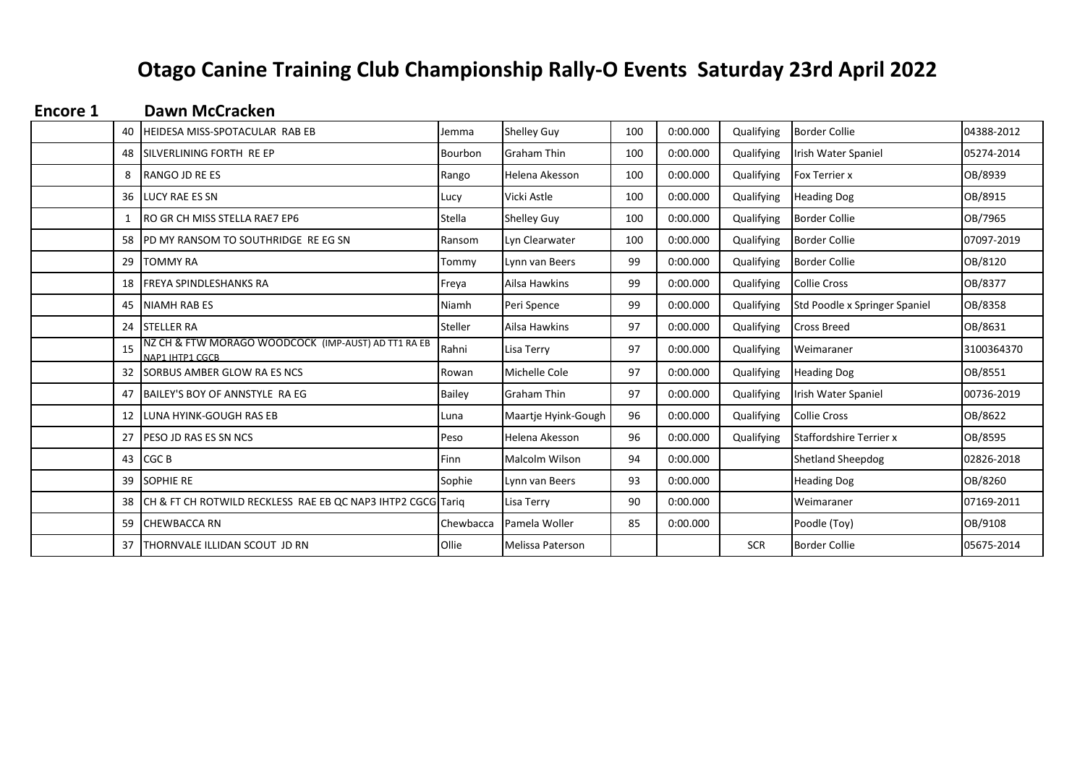# **Otago Canine Training Club Championship Rally-O Events Saturday 23rd April 2022**

| <b>Encore 1</b> |    | Dawn McCracken                                                         |               |                     |     |          |            |                               |            |
|-----------------|----|------------------------------------------------------------------------|---------------|---------------------|-----|----------|------------|-------------------------------|------------|
|                 |    | 40 HEIDESA MISS-SPOTACULAR RAB EB                                      | Jemma         | Shelley Guy         | 100 | 0:00.000 | Qualifying | <b>Border Collie</b>          | 04388-2012 |
|                 |    | 48 ISILVERLINING FORTH RE EP                                           | Bourbon       | Graham Thin         | 100 | 0:00.000 | Qualifying | Irish Water Spaniel           | 05274-2014 |
|                 | 8  | RANGO JD RE ES                                                         | Rango         | Helena Akesson      | 100 | 0:00.000 | Qualifying | <b>Fox Terrier x</b>          | OB/8939    |
|                 |    | 36 LUCY RAE ES SN                                                      | Lucy          | Vicki Astle         | 100 | 0:00.000 | Qualifying | <b>Heading Dog</b>            | OB/8915    |
|                 |    | <b>IRO GR CH MISS STELLA RAE7 EP6</b>                                  | Stella        | Shelley Guy         | 100 | 0:00.000 | Qualifying | <b>Border Collie</b>          | OB/7965    |
|                 |    | 58 IPD MY RANSOM TO SOUTHRIDGE REEG SN                                 | Ransom        | Lyn Clearwater      | 100 | 0:00.000 | Qualifying | <b>Border Collie</b>          | 07097-2019 |
|                 |    | 29 <b>I</b> TOMMY RA                                                   | Tommy         | Lynn van Beers      | 99  | 0:00.000 | Qualifying | <b>Border Collie</b>          | OB/8120    |
|                 |    | 18 <b>IFREYA SPINDLESHANKS RA</b>                                      | Freya         | Ailsa Hawkins       | 99  | 0:00.000 | Qualifying | <b>Collie Cross</b>           | OB/8377    |
|                 |    | 45 INIAMH RAB ES                                                       | Niamh         | Peri Spence         | 99  | 0:00.000 | Qualifying | Std Poodle x Springer Spaniel | OB/8358    |
|                 |    | 24 STELLER RA                                                          | Steller       | Ailsa Hawkins       | 97  | 0:00.000 | Qualifying | <b>Cross Breed</b>            | OB/8631    |
|                 | 15 | NZ CH & FTW MORAGO WOODCOCK (IMP-AUST) AD TT1 RA EB<br>NAP1 IHTP1 CGCB | Rahni         | Lisa Terry          | 97  | 0:00.000 | Qualifying | Weimaraner                    | 3100364370 |
|                 |    | 32 ISORBUS AMBER GLOW RA ES NCS                                        | Rowan         | Michelle Cole       | 97  | 0:00.000 | Qualifying | <b>Heading Dog</b>            | OB/8551    |
|                 |    | 47 BAILEY'S BOY OF ANNSTYLE RA EG                                      | <b>Bailey</b> | <b>Graham Thin</b>  | 97  | 0:00.000 | Qualifying | Irish Water Spaniel           | 00736-2019 |
|                 |    | 12 <b>ILUNA HYINK-GOUGH RAS EB</b>                                     | Luna          | Maartje Hyink-Gough | 96  | 0:00.000 | Qualifying | <b>Collie Cross</b>           | OB/8622    |
|                 |    | 27 PESO JD RAS ES SN NCS                                               | Peso          | Helena Akesson      | 96  | 0:00.000 | Qualifying | Staffordshire Terrier x       | OB/8595    |
|                 |    | 43 CGC B                                                               | Finn          | Malcolm Wilson      | 94  | 0:00.000 |            | Shetland Sheepdog             | 02826-2018 |
|                 |    | 39 SOPHIE RE                                                           | Sophie        | Lynn van Beers      | 93  | 0:00.000 |            | <b>Heading Dog</b>            | OB/8260    |
|                 |    | 38 ICH & FT CH ROTWILD RECKLESS RAE EB QC NAP3 IHTP2 CGCG Tariq        |               | Lisa Terry          | 90  | 0:00.000 |            | Weimaraner                    | 07169-2011 |
|                 |    | 59 CHEWBACCA RN                                                        | Chewbacca     | Pamela Woller       | 85  | 0:00.000 |            | Poodle (Toy)                  | OB/9108    |
|                 |    | 37 THORNVALE ILLIDAN SCOUT JD RN                                       | Ollie         | Melissa Paterson    |     |          | <b>SCR</b> | <b>Border Collie</b>          | 05675-2014 |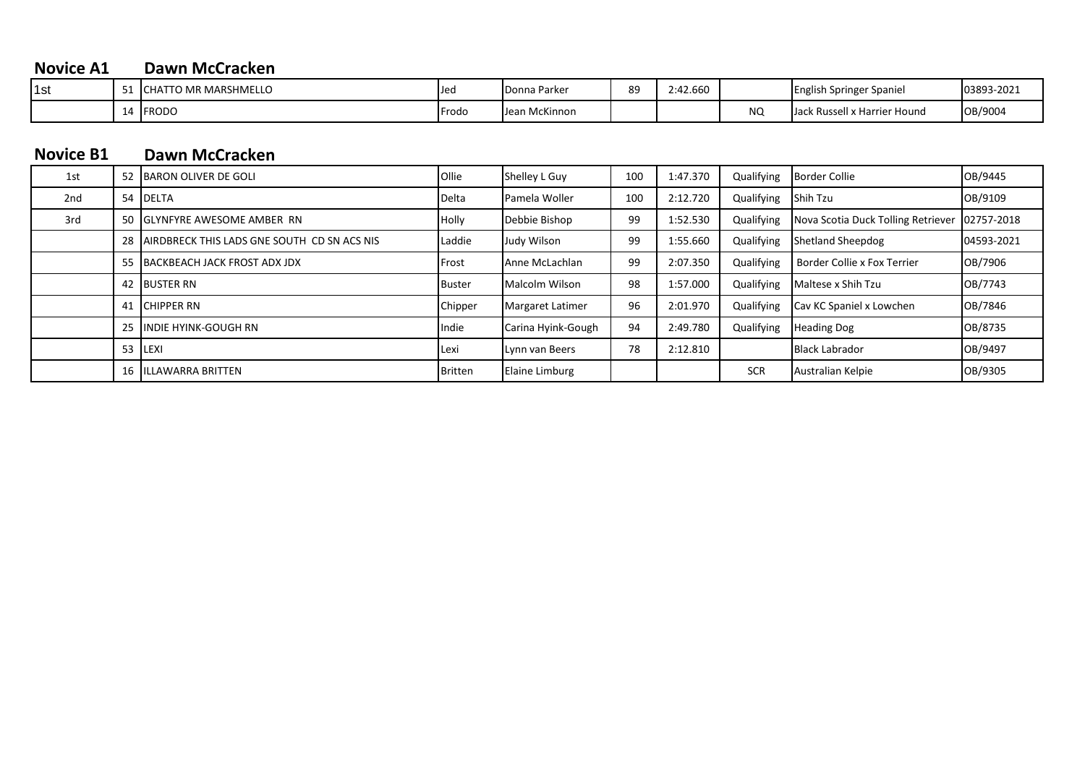### **Novice A1 Dawn McCracken**

| 1st | ັ         | TTO MR MARSHMELLO<br><b>ICHAT</b> | <b>IJec</b> | <b>IDonna Parker</b> | 89 | 2:42.660 |                | <b>English Springer Spaniel</b>    | 03893-2021 |
|-----|-----------|-----------------------------------|-------------|----------------------|----|----------|----------------|------------------------------------|------------|
|     | <b>10</b> | <b>FRODO</b>                      | Frodo       | Jean McKinnon        |    |          | $\sim$<br>19 U | IJac.<br>. Russell x Harrier Hound | OB/9004    |

### **Dawn McCracken Novice B1**

| 1st             |     | 52 BARON OLIVER DE GOLI                     | Ollie         | Shelley L Guy           | 100 | 1:47.370 | Qualifying | <b>Border Collie</b>               | OB/9445    |
|-----------------|-----|---------------------------------------------|---------------|-------------------------|-----|----------|------------|------------------------------------|------------|
| 2 <sub>nd</sub> | 54  | <b>IDELTA</b>                               | Delta         | Pamela Woller           | 100 | 2:12.720 | Qualifying | Shih Tzu                           | OB/9109    |
| 3rd             |     | 50 IGLYNFYRE AWESOME AMBER RN               | Holly         | Debbie Bishop           | 99  | 1:52.530 | Qualifying | Nova Scotia Duck Tolling Retriever | 02757-2018 |
|                 | 28  | AIRDBRECK THIS LADS GNE SOUTH CD SN ACS NIS | Laddie        | Judy Wilson             | 99  | 1:55.660 | Qualifying | <b>Shetland Sheepdog</b>           | 04593-2021 |
|                 | -55 | BACKBEACH JACK FROST ADX JDX                | Frost         | Anne McLachlan          | 99  | 2:07.350 | Qualifying | Border Collie x Fox Terrier        | OB/7906    |
|                 |     | 42 BUSTER RN                                | <b>Buster</b> | Malcolm Wilson          | 98  | 1:57.000 | Qualifying | Maltese x Shih Tzu                 | OB/7743    |
|                 | 41  | <b>CHIPPER RN</b>                           | Chipper       | <b>Margaret Latimer</b> | 96  | 2:01.970 | Qualifying | Cav KC Spaniel x Lowchen           | OB/7846    |
|                 | 25  | <b>INDIE HYINK-GOUGH RN</b>                 | Indie         | Carina Hyink-Gough      | 94  | 2:49.780 | Qualifying | <b>Heading Dog</b>                 | OB/8735    |
|                 | 53  | <b>LEXI</b>                                 | Lexi          | Lynn van Beers          | 78  | 2:12.810 |            | <b>Black Labrador</b>              | OB/9497    |
|                 |     | 16 IILLAWARRA BRITTEN                       | Britten       | <b>Elaine Limburg</b>   |     |          | <b>SCR</b> | Australian Kelpie                  | OB/9305    |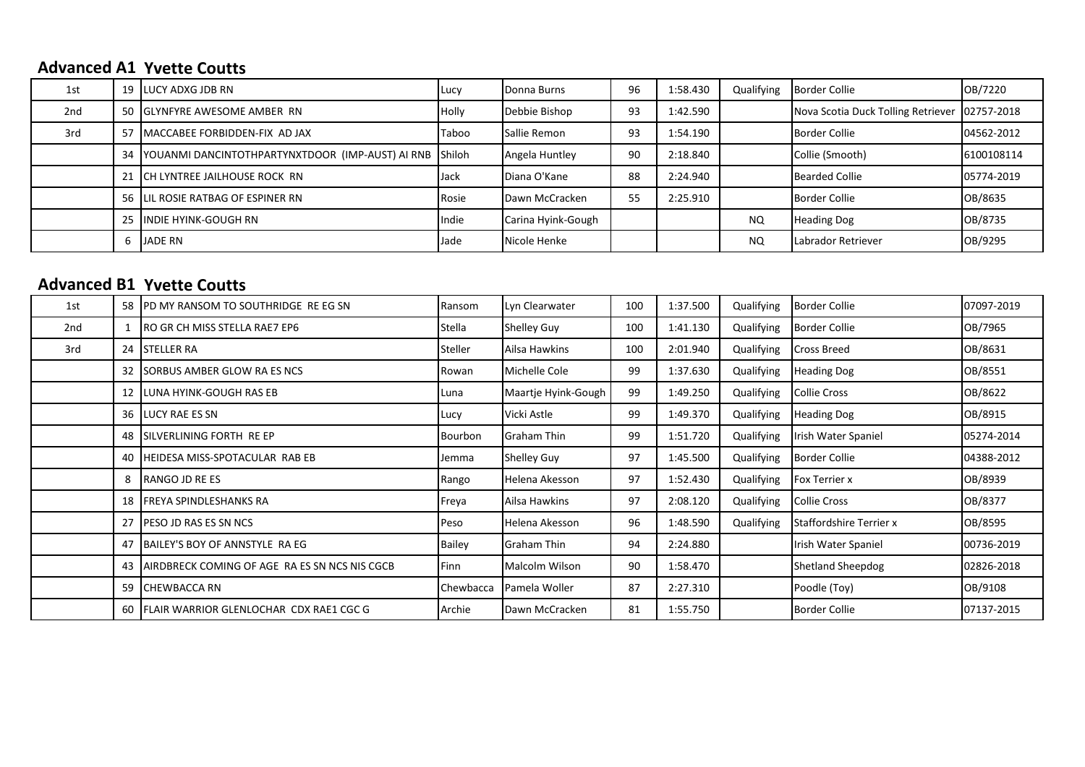## **Advanced A1 Yvette Coutts**

| 1st |   | 19 <b>I</b> LUCY ADXG JDB RN                               | <b>ILucy</b> | Donna Burns        | 96 | 1:58.430 | Qualifying | <b>Border Collie</b>                            | OB/7220    |
|-----|---|------------------------------------------------------------|--------------|--------------------|----|----------|------------|-------------------------------------------------|------------|
| 2nd |   | 50 GLYNFYRE AWESOME AMBER RN                               | <b>Holly</b> | Debbie Bishop      | 93 | 1:42.590 |            | Nova Scotia Duck Tolling Retriever   02757-2018 |            |
| 3rd |   | 57 MACCABEE FORBIDDEN-FIX AD JAX                           | <b>Taboo</b> | Sallie Remon       | 93 | 1:54.190 |            | <b>Border Collie</b>                            | 04562-2012 |
|     |   | 34 YOUANMI DANCINTOTHPARTYNXTDOOR (IMP-AUST) AI RNB Shiloh |              | Angela Huntley     | 90 | 2:18.840 |            | Collie (Smooth)                                 | 6100108114 |
|     |   | 21 ICH LYNTREE JAILHOUSE ROCK RN                           | Jack         | Diana O'Kane       | 88 | 2:24.940 |            | <b>Bearded Collie</b>                           | 05774-2019 |
|     |   | 56 LIL ROSIE RATBAG OF ESPINER RN                          | Rosie        | Dawn McCracken     | 55 | 2:25.910 |            | <b>Border Collie</b>                            | OB/8635    |
|     |   | 25 IINDIE HYINK-GOUGH RN                                   | Indie        | Carina Hyink-Gough |    |          | <b>NQ</b>  | <b>Heading Dog</b>                              | OB/8735    |
|     | 6 | JADE RN                                                    | Jade         | Nicole Henke       |    |          | NQ.        | Labrador Retriever                              | OB/9295    |

### **Advanced B1 Yvette Coutts**

| 1st | 58   | PD MY RANSOM TO SOUTHRIDGE REEG SN            | Ransom         | Lyn Clearwater      | 100 | 1:37.500 | Qualifying | <b>Border Collie</b>     | 07097-2019 |
|-----|------|-----------------------------------------------|----------------|---------------------|-----|----------|------------|--------------------------|------------|
| 2nd |      | RO GR CH MISS STELLA RAE7 EP6                 | Stella         | <b>Shelley Guy</b>  | 100 | 1:41.130 | Qualifying | <b>Border Collie</b>     | OB/7965    |
| 3rd |      | 24 ISTELLER RA                                | Steller        | Ailsa Hawkins       | 100 | 2:01.940 | Qualifying | <b>Cross Breed</b>       | OB/8631    |
|     |      | 32 ISORBUS AMBER GLOW RA ES NCS               | Rowan          | Michelle Cole       | 99  | 1:37.630 | Qualifying | <b>Heading Dog</b>       | OB/8551    |
|     |      | 12 LUNA HYINK-GOUGH RAS EB                    | l Luna         | Maartje Hyink-Gough | 99  | 1:49.250 | Qualifying | Collie Cross             | OB/8622    |
|     |      | 36 <b>ILUCY RAE ES SN</b>                     | Lucy           | Vicki Astle         | 99  | 1:49.370 | Qualifying | <b>Heading Dog</b>       | OB/8915    |
|     | 48 I | Isilverlining forth Re EP                     | <b>Bourbon</b> | <b>Graham Thin</b>  | 99  | 1:51.720 | Qualifying | Irish Water Spaniel      | 05274-2014 |
|     | 40 I | HEIDESA MISS-SPOTACULAR RAB EB                | Jemma          | <b>Shelley Guy</b>  | 97  | 1:45.500 | Qualifying | <b>Border Collie</b>     | 04388-2012 |
|     | 8    | RANGO JD RE ES                                | Rango          | Helena Akesson      | 97  | 1:52.430 | Qualifying | <b>Fox Terrier x</b>     | OB/8939    |
|     |      | 18 <b>FREYA SPINDLESHANKS RA</b>              | Freya          | Ailsa Hawkins       | 97  | 2:08.120 | Qualifying | <b>Collie Cross</b>      | OB/8377    |
|     |      | 27 <b>PESO JD RAS ES SN NCS</b>               | Peso           | Helena Akesson      | 96  | 1:48.590 | Qualifying | Staffordshire Terrier x  | OB/8595    |
|     |      | 47 BAILEY'S BOY OF ANNSTYLE RA EG             | Bailey         | Graham Thin         | 94  | 2:24.880 |            | Irish Water Spaniel      | 00736-2019 |
|     | 43   | AIRDBRECK COMING OF AGE RA ES SN NCS NIS CGCB | <b>Finn</b>    | Malcolm Wilson      | 90  | 1:58.470 |            | <b>Shetland Sheepdog</b> | 02826-2018 |
|     |      | 59 CHEWBACCA RN                               | Chewbacca      | Pamela Woller       | 87  | 2:27.310 |            | Poodle (Toy)             | OB/9108    |
|     | 60 I | FLAIR WARRIOR GLENLOCHAR CDX RAE1 CGC G       | Archie         | Dawn McCracken      | 81  | 1:55.750 |            | <b>Border Collie</b>     | 07137-2015 |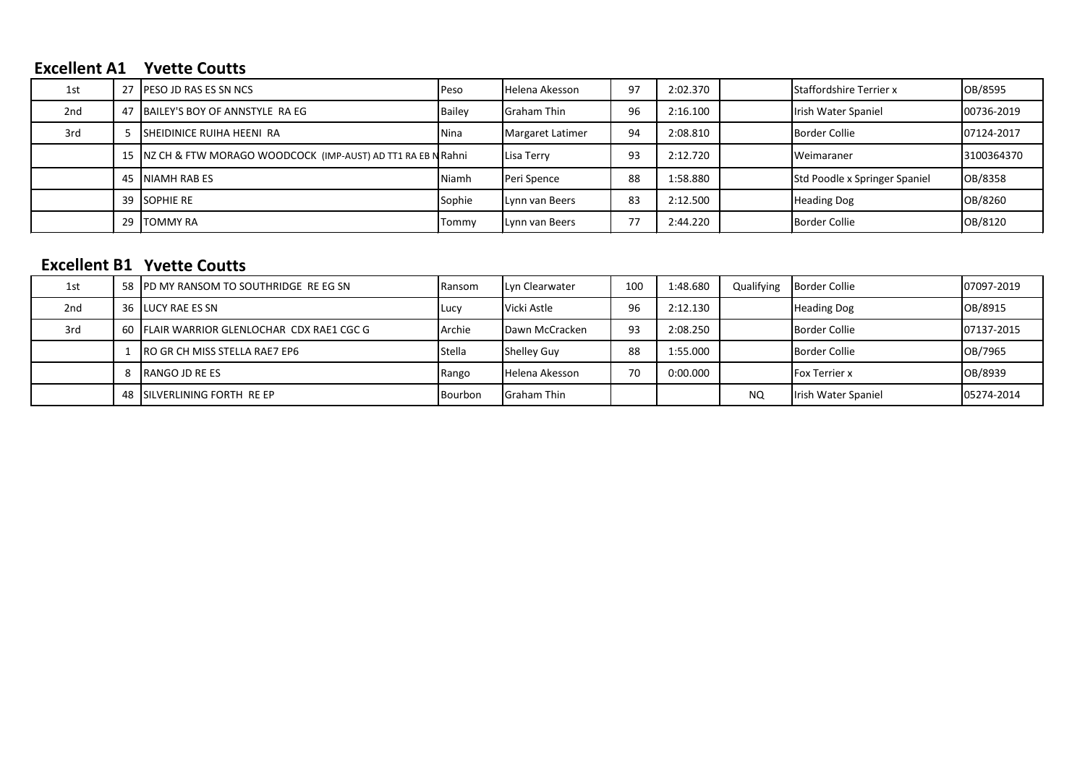### **Excellent A1 Yvette Coutts**

| 1st             | 27 <b>PESO JD RAS ES SN NCS</b>                               | <b>Peso</b> | <b>Helena Akesson</b> | 97 | 2:02.370 | <b>Staffordshire Terrier x</b> | OB/8595    |
|-----------------|---------------------------------------------------------------|-------------|-----------------------|----|----------|--------------------------------|------------|
| 2 <sub>nd</sub> | 47 BAILEY'S BOY OF ANNSTYLE RA EG                             | Bailey      | <b>Graham Thin</b>    | 96 | 2:16.100 | Irish Water Spaniel            | 00736-2019 |
| 3rd             | ISHEIDINICE RUIHA HEENI RA                                    | <b>Nina</b> | Margaret Latimer      | 94 | 2:08.810 | <b>Border Collie</b>           | 07124-2017 |
|                 | 15 NZ CH & FTW MORAGO WOODCOCK (IMP-AUST) AD TT1 RA EB NRahni |             | Lisa Terry            | 93 | 2:12.720 | Weimaraner                     | 3100364370 |
|                 | 45 INIAMH RAB ES                                              | Niamh       | Peri Spence           | 88 | 1:58.880 | Std Poodle x Springer Spaniel  | OB/8358    |
|                 | 39 SOPHIE RE                                                  | Sophie      | Lynn van Beers        | 83 | 2:12.500 | <b>Heading Dog</b>             | OB/8260    |
|                 | 29 ITOMMY RA                                                  | Tommv       | Lynn van Beers        | 77 | 2:44.220 | <b>Border Collie</b>           | OB/8120    |

### **Excellent B1 Yvette Coutts**

| 1st             | 58 IPD MY RANSOM TO SOUTHRIDGE REEG SN       | <b>Ransom</b> | <b>ILvn Clearwater</b> | 100 | 1:48.680 | Qualifying | Border Collie        | 07097-2019 |
|-----------------|----------------------------------------------|---------------|------------------------|-----|----------|------------|----------------------|------------|
| 2 <sub>nd</sub> | 36 <b>ILUCY RAE ES SN</b>                    | <b>I</b> Lucy | Vicki Astle            | 96  | 2:12.130 |            | <b>Heading Dog</b>   | OB/8915    |
| 3rd             | 60 FLAIR WARRIOR GLENLOCHAR CDX RAE1 CGC G   | <b>Archie</b> | Dawn McCracken         | 93  | 2:08.250 |            | Border Collie        | 07137-2015 |
|                 | $\blacksquare$ RO GR CH MISS STELLA RAE7 EP6 | <b>Stella</b> | <b>Shelley Guv</b>     | 88  | 1:55.000 |            | Border Collie        | OB/7965    |
|                 | <b>IRANGO JD RE ES</b>                       | Rango         | Helena Akesson         | 70  | 0:00.000 |            | <b>Fox Terrier x</b> | OB/8939    |
|                 | 48 ISILVERLINING FORTH RE EP                 | Bourbon       | <b>Graham Thin</b>     |     |          | NQ.        | Irish Water Spaniel  | 05274-2014 |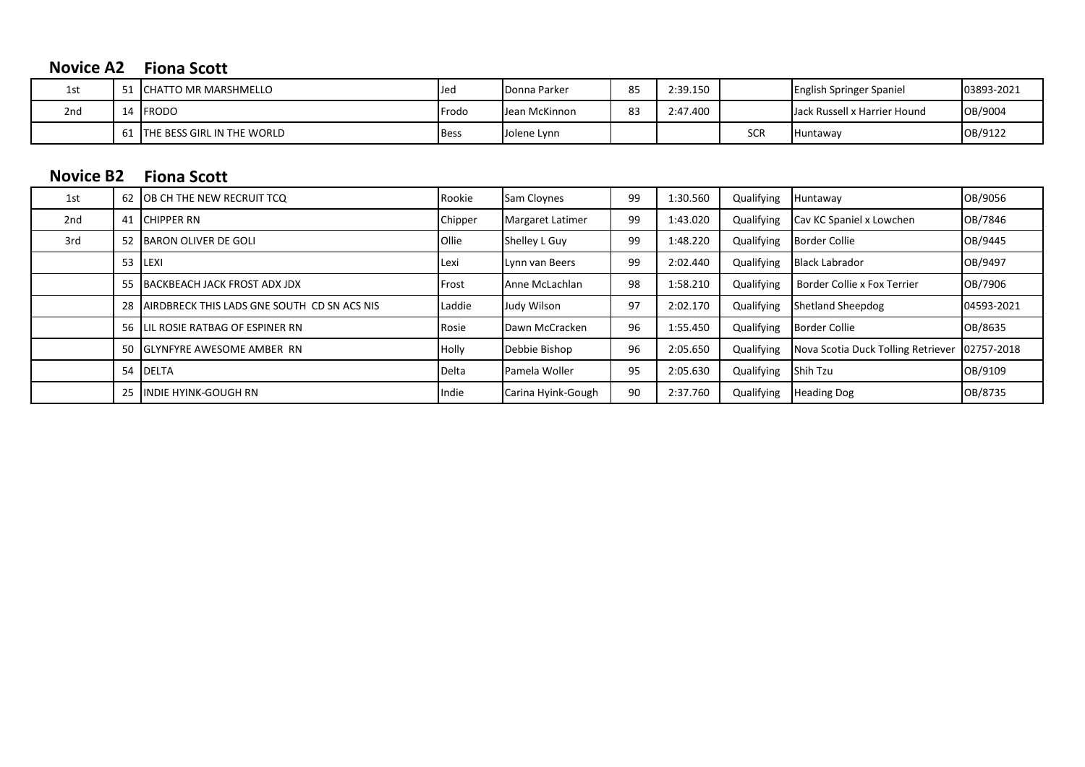# **Novice A2 Fiona Scott**

| 1st             | <b>ICHATTO MR MARSHMELLO</b>       | IJec          | Donna Parker  | 85                   | 2:39.150 |            | <b>English Springer Spaniel</b> | 03893-2021 |
|-----------------|------------------------------------|---------------|---------------|----------------------|----------|------------|---------------------------------|------------|
| 2 <sub>nd</sub> | <b>IFRODO</b>                      | <b>IFrodo</b> | Jean McKinnon | O <sub>2</sub><br>83 | 2:47.400 |            | Jack Russell x Harrier Hound    | OB/9004    |
|                 | <b>ITHE BESS GIRL IN THE WORLD</b> | <b>Bess</b>   | Jolene Lynn   |                      |          | CCL<br>JUN | Huntaway                        | OB/9122    |

# **Fiona Scott Novice B2**

| 1st             | 62 OB CH THE NEW RECRUIT TCQ                    | Rookie  | Sam Cloynes        | 99 | 1:30.560 | Qualifying | Huntaway                           | OB/9056    |
|-----------------|-------------------------------------------------|---------|--------------------|----|----------|------------|------------------------------------|------------|
| 2 <sub>nd</sub> | 41 CHIPPER RN                                   | Chipper | Margaret Latimer   | 99 | 1:43.020 | Qualifying | Cav KC Spaniel x Lowchen           | OB/7846    |
| 3rd             | 52 BARON OLIVER DE GOLI                         | Ollie   | Shelley L Guy      | 99 | 1:48.220 | Qualifying | <b>Border Collie</b>               | OB/9445    |
|                 | 53 ILEXI                                        | lLexi   | Lynn van Beers     | 99 | 2:02.440 | Qualifying | <b>Black Labrador</b>              | OB/9497    |
|                 | 55 BACKBEACH JACK FROST ADX JDX                 | Frost   | Anne McLachlan     | 98 | 1:58.210 | Qualifying | Border Collie x Fox Terrier        | OB/7906    |
|                 | 28 JAIRDBRECK THIS LADS GNE SOUTH CD SN ACS NIS | Laddie  | Judy Wilson        | 97 | 2:02.170 | Qualifying | Shetland Sheepdog                  | 04593-2021 |
|                 | 56 LIL ROSIE RATBAG OF ESPINER RN               | Rosie   | Dawn McCracken     | 96 | 1:55.450 | Qualifying | Border Collie                      | OB/8635    |
|                 | 50 GLYNFYRE AWESOME AMBER RN                    | Holly   | Debbie Bishop      | 96 | 2:05.650 | Qualifying | Nova Scotia Duck Tolling Retriever | 02757-2018 |
|                 | 54 DELTA                                        | Delta   | Pamela Woller      | 95 | 2:05.630 | Qualifying | Shih Tzu                           | OB/9109    |
|                 | 25 IINDIE HYINK-GOUGH RN                        | Indie   | Carina Hyink-Gough | 90 | 2:37.760 | Qualifying | <b>Heading Dog</b>                 | OB/8735    |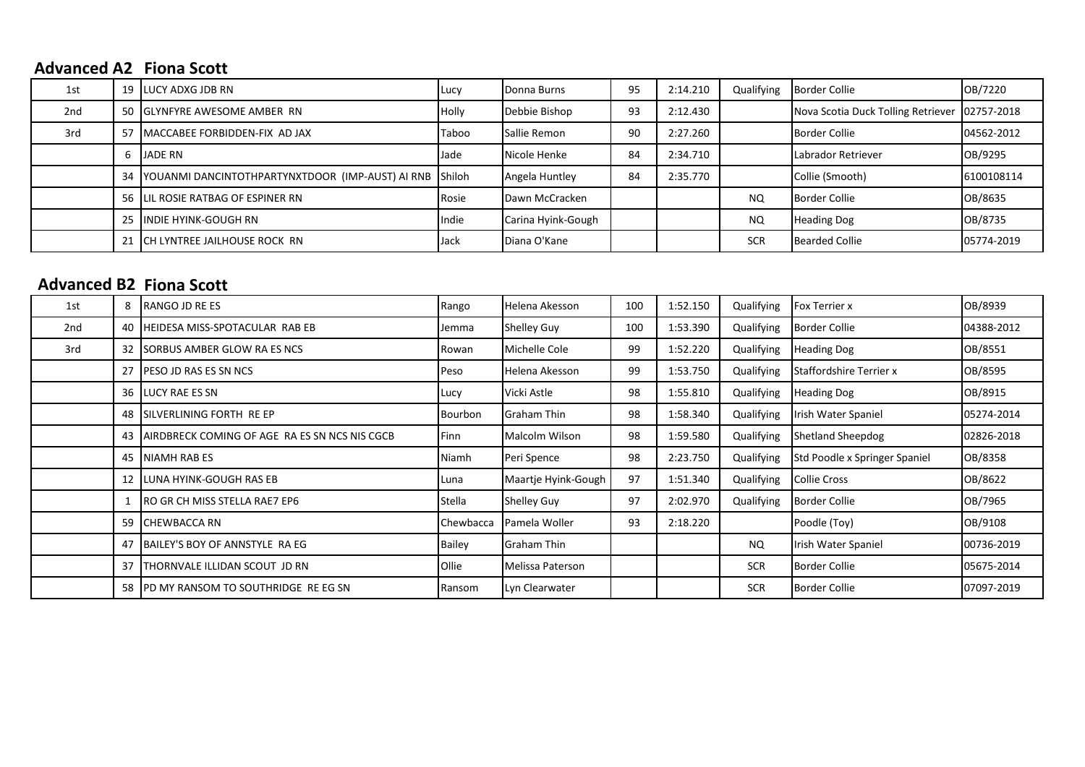### **Advanced A2 Fiona Scott**

| 1st | 19 LUCY ADXG JDB RN                                        | <b>ILucy</b> | Donna Burns        | 95 | 2:14.210 |            | Qualifying Border Collie           | OB/7220    |
|-----|------------------------------------------------------------|--------------|--------------------|----|----------|------------|------------------------------------|------------|
| 2nd | 50 GLYNFYRE AWESOME AMBER RN                               | <b>Holly</b> | Debbie Bishop      | 93 | 2:12.430 |            | Nova Scotia Duck Tolling Retriever | 02757-2018 |
| 3rd | 57 IMACCABEE FORBIDDEN-FIX AD JAX                          | Taboo        | Sallie Remon       | 90 | 2:27.260 |            | Border Collie                      | 04562-2012 |
|     | 6 JADE RN                                                  | Jade         | Nicole Henke       | 84 | 2:34.710 |            | Labrador Retriever                 | OB/9295    |
|     | 34 YOUANMI DANCINTOTHPARTYNXTDOOR (IMP-AUST) AI RNB Shiloh |              | Angela Huntley     | 84 | 2:35.770 |            | Collie (Smooth)                    | 6100108114 |
|     | 56 LIL ROSIE RATBAG OF ESPINER RN                          | Rosie        | Dawn McCracken     |    |          | <b>NQ</b>  | Border Collie                      | OB/8635    |
|     | 25 IINDIE HYINK-GOUGH RN                                   | Indie        | Carina Hyink-Gough |    |          | <b>NQ</b>  | <b>Heading Dog</b>                 | OB/8735    |
|     | 21 CH LYNTREE JAILHOUSE ROCK RN                            | Jack         | Diana O'Kane       |    |          | <b>SCR</b> | <b>Bearded Collie</b>              | 05774-2019 |

## **Advanced B2 Fiona Scott**

| 1st             | 8    | RANGO JD RE ES                                | Rango        | Helena Akesson        | 100 | 1:52.150 | Qualifying | <b>Fox Terrier x</b>          | OB/8939    |
|-----------------|------|-----------------------------------------------|--------------|-----------------------|-----|----------|------------|-------------------------------|------------|
| 2 <sub>nd</sub> | 40   | HEIDESA MISS-SPOTACULAR RAB EB                | Jemma        | <b>Shelley Guy</b>    | 100 | 1:53.390 | Qualifying | <b>Border Collie</b>          | 04388-2012 |
| 3rd             |      | 32 SORBUS AMBER GLOW RA ES NCS                | Rowan        | Michelle Cole         | 99  | 1:52.220 | Qualifying | <b>Heading Dog</b>            | OB/8551    |
|                 |      | 27 <b>IPESO JD RAS ES SN NCS</b>              | Peso         | Helena Akesson        | 99  | 1:53.750 | Qualifying | Staffordshire Terrier x       | OB/8595    |
|                 |      | 36 <b>ILUCY RAE ES SN</b>                     | Lucy         | Vicki Astle           | 98  | 1:55.810 | Qualifying | <b>Heading Dog</b>            | OB/8915    |
|                 | 48 I | SILVERLINING FORTH RE EP                      | Bourbon      | Graham Thin           | 98  | 1:58.340 | Qualifying | <b>Irish Water Spaniel</b>    | 05274-2014 |
|                 | 43   | AIRDBRECK COMING OF AGE RA ES SN NCS NIS CGCB | Finn         | <b>Malcolm Wilson</b> | 98  | 1:59.580 | Qualifying | <b>Shetland Sheepdog</b>      | 02826-2018 |
|                 | 45   | <b>NIAMH RAB ES</b>                           | Niamh        | Peri Spence           | 98  | 2:23.750 | Qualifying | Std Poodle x Springer Spaniel | OB/8358    |
|                 |      | 12 LUNA HYINK-GOUGH RAS EB                    | l Luna       | Maartje Hyink-Gough   | 97  | 1:51.340 | Qualifying | Collie Cross                  | OB/8622    |
|                 |      | RO GR CH MISS STELLA RAE7 EP6                 | Stella       | Shelley Guy           | 97  | 2:02.970 | Qualifying | <b>Border Collie</b>          | OB/7965    |
|                 |      | 59 CHEWBACCA RN                               | Chewbacca    | Pamela Woller         | 93  | 2:18.220 |            | Poodle (Toy)                  | OB/9108    |
|                 |      | 47 BAILEY'S BOY OF ANNSTYLE RA EG             | Bailey       | Graham Thin           |     |          | NQ.        | Irish Water Spaniel           | 00736-2019 |
|                 |      | 37 THORNVALE ILLIDAN SCOUT JD RN              | <b>Ollie</b> | Melissa Paterson      |     |          | <b>SCR</b> | <b>Border Collie</b>          | 05675-2014 |
|                 |      | 58 IPD MY RANSOM TO SOUTHRIDGE REEG SN        | Ransom       | Lyn Clearwater        |     |          | <b>SCR</b> | <b>Border Collie</b>          | 07097-2019 |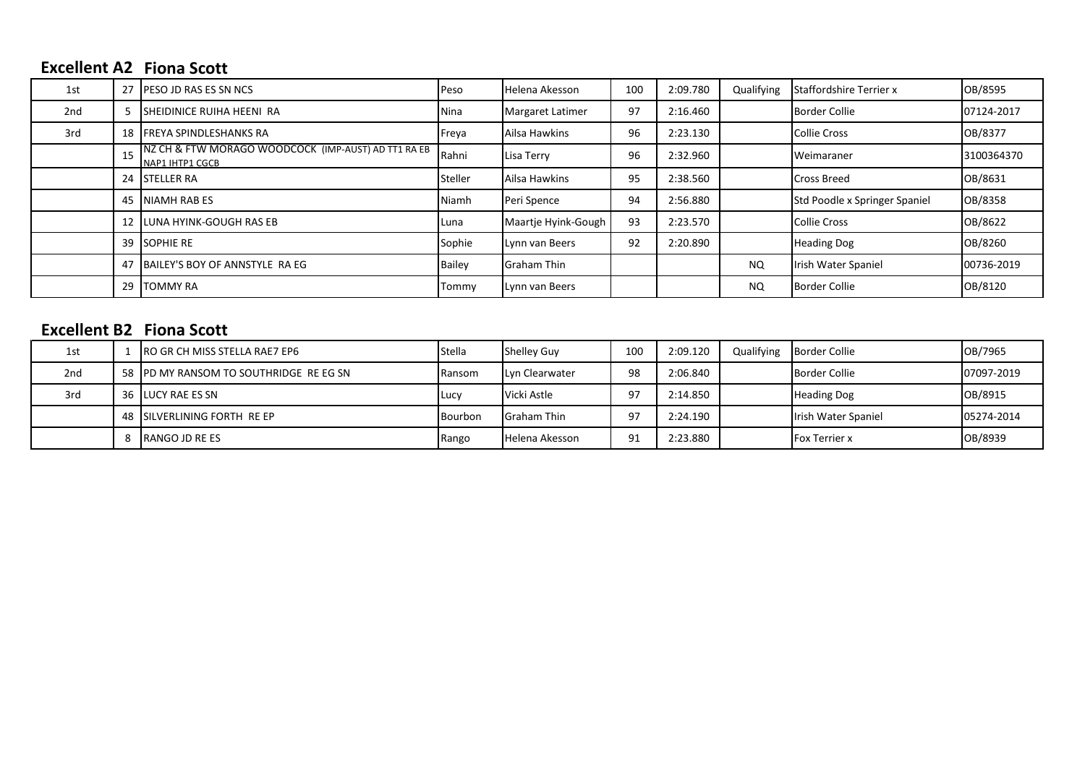## **Excellent A2 Fiona Scott**

| 1st |    | 27 PESO JD RAS ES SN NCS                                               | <b>Peso</b>   | Helena Akesson      | 100 | 2:09.780 | Qualifying | <b>Staffordshire Terrier x</b> | OB/8595    |
|-----|----|------------------------------------------------------------------------|---------------|---------------------|-----|----------|------------|--------------------------------|------------|
| 2nd | 5. | <b>I</b> SHEIDINICE RUIHA HEENI RA                                     | Nina          | Margaret Latimer    | 97  | 2:16.460 |            | <b>Border Collie</b>           | 07124-2017 |
| 3rd |    | 18 FREYA SPINDLESHANKS RA                                              | Freya         | Ailsa Hawkins       | 96  | 2:23.130 |            | Collie Cross                   | OB/8377    |
|     |    | NZ CH & FTW MORAGO WOODCOCK (IMP-AUST) AD TT1 RA EB<br>NAP1 IHTP1 CGCB | Rahni         | Lisa Terry          | 96  | 2:32.960 |            | <b>Weimaraner</b>              | 3100364370 |
|     |    | 24 ISTELLER RA                                                         | Steller       | Ailsa Hawkins       | 95  | 2:38.560 |            | <b>Cross Breed</b>             | OB/8631    |
|     |    | 45 NIAMH RAB ES                                                        | Niamh         | Peri Spence         | 94  | 2:56.880 |            | Std Poodle x Springer Spaniel  | OB/8358    |
|     |    | 12 <b>ILUNA HYINK-GOUGH RAS EB</b>                                     | lLuna         | Maartje Hyink-Gough | 93  | 2:23.570 |            | <b>Collie Cross</b>            | OB/8622    |
|     |    | 39 SOPHIE RE                                                           | Sophie        | Lynn van Beers      | 92  | 2:20.890 |            | <b>Heading Dog</b>             | OB/8260    |
|     |    | 47 BAILEY'S BOY OF ANNSTYLE RA EG                                      | <b>Bailey</b> | <b>Graham Thin</b>  |     |          | NQ.        | Irish Water Spaniel            | 00736-2019 |
|     | 29 | TOMMY RA                                                               | Tommy         | Lynn van Beers      |     |          | <b>NQ</b>  | <b>Border Collie</b>           | OB/8120    |

## **Fiona Scott Excellent B2**

| 1st             | IRO GR CH MISS STELLA RAE7 EP6         | <b>Stella</b> | <b>Shelley Guy</b> | 100 | 2:09.120 | Qualifying | <b>Border Collie</b> | OB/7965    |
|-----------------|----------------------------------------|---------------|--------------------|-----|----------|------------|----------------------|------------|
| 2 <sub>nd</sub> | 58 IPD MY RANSOM TO SOUTHRIDGE REEG SN | <b>Ransom</b> | Lyn Clearwater     | 98  | 2:06.840 |            | <b>Border Collie</b> | 07097-2019 |
| 3rd             | 36 <b>ILUCY RAE ES SN</b>              | <b>ILucy</b>  | Vicki Astle        | 97  | 2:14.850 |            | <b>Heading Dog</b>   | OB/8915    |
|                 | 48 ISILVERLINING FORTH RE EP           | Bourbon       | Graham Thin        | 97  | 2:24.190 |            | Irish Water Spaniel  | 05274-2014 |
|                 | <b>IRANGO JD RE ES</b>                 | Rango         | Helena Akesson     | 91  | 2:23.880 |            | <b>Fox Terrier x</b> | OB/8939    |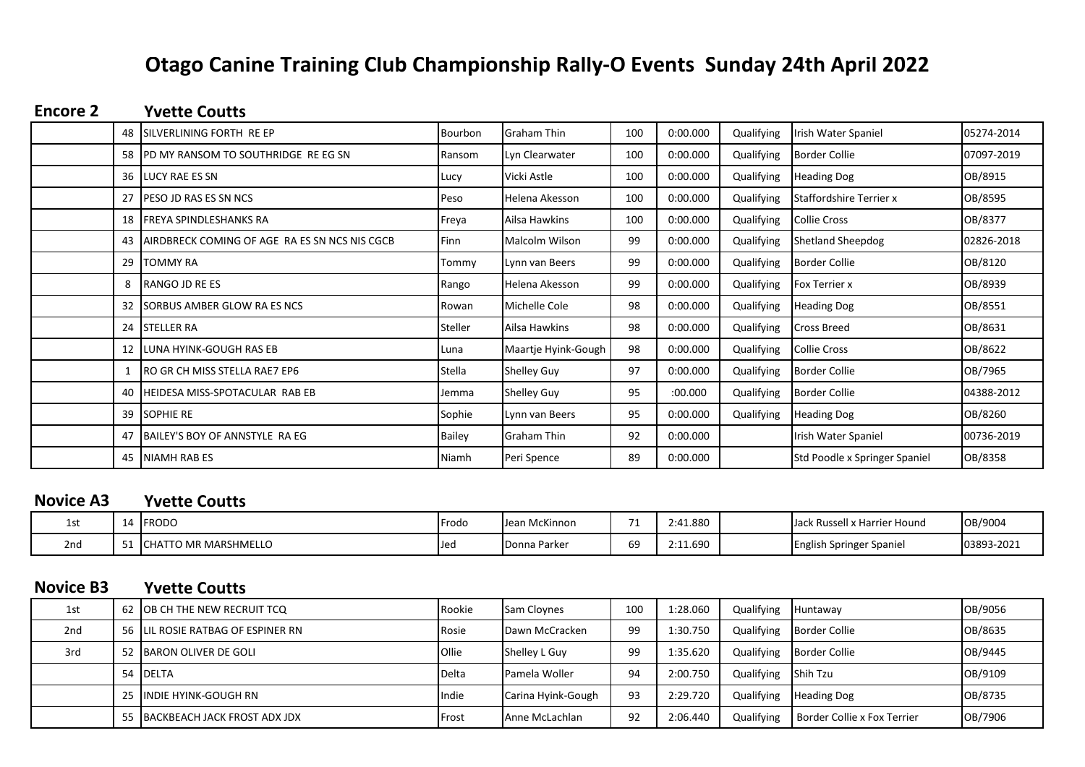# **Otago Canine Training Club Championship Rally-O Events Sunday 24th April 2022**

### **Yvette Coutts Encore 2**

|      | 48 ISILVERLINING FORTH RE EP                  | <b>Bourbon</b> | <b>Graham Thin</b>  | 100 | 0:00.000 | Qualifying | Irish Water Spaniel           | 05274-2014 |
|------|-----------------------------------------------|----------------|---------------------|-----|----------|------------|-------------------------------|------------|
|      | 58 PD MY RANSOM TO SOUTHRIDGE REEG SN         | Ransom         | Lyn Clearwater      | 100 | 0:00.000 | Qualifying | <b>Border Collie</b>          | 07097-2019 |
|      | 36 <b>ILUCY RAE ES SN</b>                     | Lucy           | Vicki Astle         | 100 | 0:00.000 | Qualifying | <b>Heading Dog</b>            | OB/8915    |
| 27   | <b>IPESO JD RAS ES SN NCS</b>                 | Peso           | Helena Akesson      | 100 | 0:00.000 | Qualifying | Staffordshire Terrier x       | OB/8595    |
| 18 I | FREYA SPINDLESHANKS RA                        | Freya          | Ailsa Hawkins       | 100 | 0:00.000 | Qualifying | Collie Cross                  | OB/8377    |
| 43   | AIRDBRECK COMING OF AGE RA ES SN NCS NIS CGCB | <b>I</b> Finn  | Malcolm Wilson      | 99  | 0:00.000 | Qualifying | <b>Shetland Sheepdog</b>      | 02826-2018 |
| 29   | <b>TOMMY RA</b>                               | Tommy          | Lynn van Beers      | 99  | 0:00.000 | Qualifying | <b>Border Collie</b>          | OB/8120    |
|      | RANGO JD RE ES                                | Rango          | Helena Akesson      | 99  | 0:00.000 | Qualifying | <b>Fox Terrier x</b>          | OB/8939    |
|      | 32 ISORBUS AMBER GLOW RA ES NCS               | Rowan          | Michelle Cole       | 98  | 0:00.000 | Qualifying | <b>Heading Dog</b>            | OB/8551    |
|      | 24 STELLER RA                                 | Steller        | Ailsa Hawkins       | 98  | 0:00.000 | Qualifying | <b>Cross Breed</b>            | OB/8631    |
|      | 12 LUNA HYINK-GOUGH RAS EB                    | Luna           | Maartje Hyink-Gough | 98  | 0:00.000 | Qualifying | <b>Collie Cross</b>           | OB/8622    |
|      | <b>RO GR CH MISS STELLA RAE7 EP6</b>          | Stella         | <b>Shelley Guy</b>  | 97  | 0:00.000 | Qualifying | <b>Border Collie</b>          | OB/7965    |
| 40   | HEIDESA MISS-SPOTACULAR RAB EB                | Jemma          | <b>Shelley Guy</b>  | 95  | :00.000  | Qualifying | <b>Border Collie</b>          | 04388-2012 |
|      | 39 SOPHIE RE                                  | Sophie         | Lynn van Beers      | 95  | 0:00.000 | Qualifying | <b>Heading Dog</b>            | OB/8260    |
|      | 47 BAILEY'S BOY OF ANNSTYLE RA EG             | <b>Bailey</b>  | <b>Graham Thin</b>  | 92  | 0:00.000 |            | Irish Water Spaniel           | 00736-2019 |
| 45 l | <b>NIAMH RAB ES</b>                           | Niamh          | Peri Spence         | 89  | 0:00.000 |            | Std Poodle x Springer Spaniel | OB/8358    |

### **Yvette Coutts Novice A3**

| ᅩJ  |            | <b>IFRODO</b>                    | Frodo        | Jean McKinnon       | $\rightarrow$<br>. . | !:41.880 | 'x Harrier Hound<br>Russell<br>IJack | OB/9004    |
|-----|------------|----------------------------------|--------------|---------------------|----------------------|----------|--------------------------------------|------------|
| 2nd | <u>، ب</u> | TO MR MARSHMELLO<br><b>ICHAT</b> | <b>I</b> Jed | <b>Donna Parker</b> | 69                   | 2:11.690 | <b>English Springer Spaniel</b>      | 03893-2021 |

### **Yvette Coutts Novice B3**

| 1st             | 62 OB CH THE NEW RECRUIT TCQ       | Rookie         | <b>Sam Cloynes</b> | 100 | 1:28.060 | Qualifying          | Huntaway                    | OB/9056 |
|-----------------|------------------------------------|----------------|--------------------|-----|----------|---------------------|-----------------------------|---------|
| 2 <sub>nd</sub> | 56 ILIL ROSIE RATBAG OF ESPINER RN | Rosie          | Dawn McCracken     | 99  | 1:30.750 | Qualifying          | <b>Border Collie</b>        | OB/8635 |
| 3rd             | 52 BARON OLIVER DE GOLI            | <b>Ollie</b>   | Shelley L Guy      | 99  | 1:35.620 | Qualifying          | <b>Border Collie</b>        | OB/9445 |
|                 | 54 IDELTA                          | <b>I</b> Delta | Pamela Woller      | 94  | 2:00.750 | Qualifying Shih Tzu |                             | OB/9109 |
|                 | 25 IINDIE HYINK-GOUGH RN           | Indie          | Carina Hyink-Gough | 93  | 2:29.720 | Qualifying          | <b>Heading Dog</b>          | OB/8735 |
|                 | 55 BACKBEACH JACK FROST ADX JDX    | <b>IFrost</b>  | Anne McLachlan     | 92  | 2:06.440 | Qualifying          | Border Collie x Fox Terrier | OB/7906 |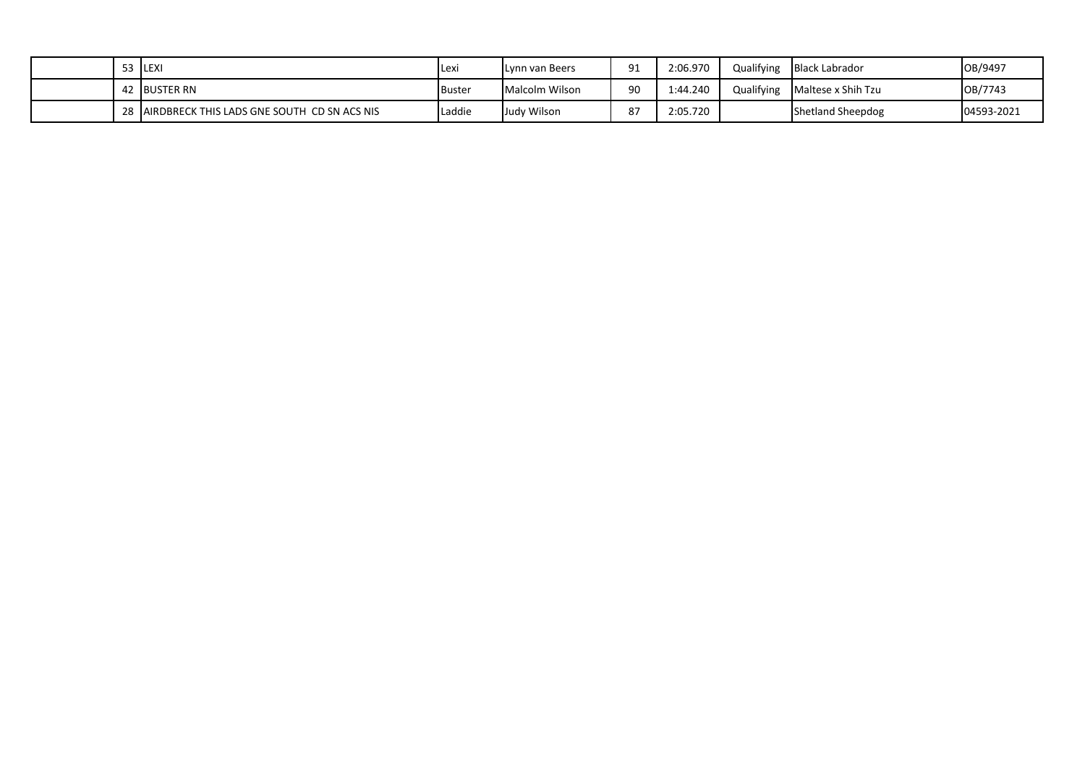|  | <b>ILEXI</b>                                | <b>ILexi</b>  | Lynn van Beers | ۵1<br>-- | 2:06.970 | Qualifying | <b>Black Labrador</b> | OB/9497    |
|--|---------------------------------------------|---------------|----------------|----------|----------|------------|-----------------------|------------|
|  | <b>BUSTER RN</b>                            | <b>Buster</b> | Malcolm Wilson | 90       | 1:44.240 | Qualifying | Maltese x Shih Tzu    | OB/7743    |
|  | AIRDBRECK THIS LADS GNE SOUTH CD SN ACS NIS | Laddie        | Judy Wilson    | ر ہ      | 2:05.720 |            | Shetland Sheepdog     | 04593-2021 |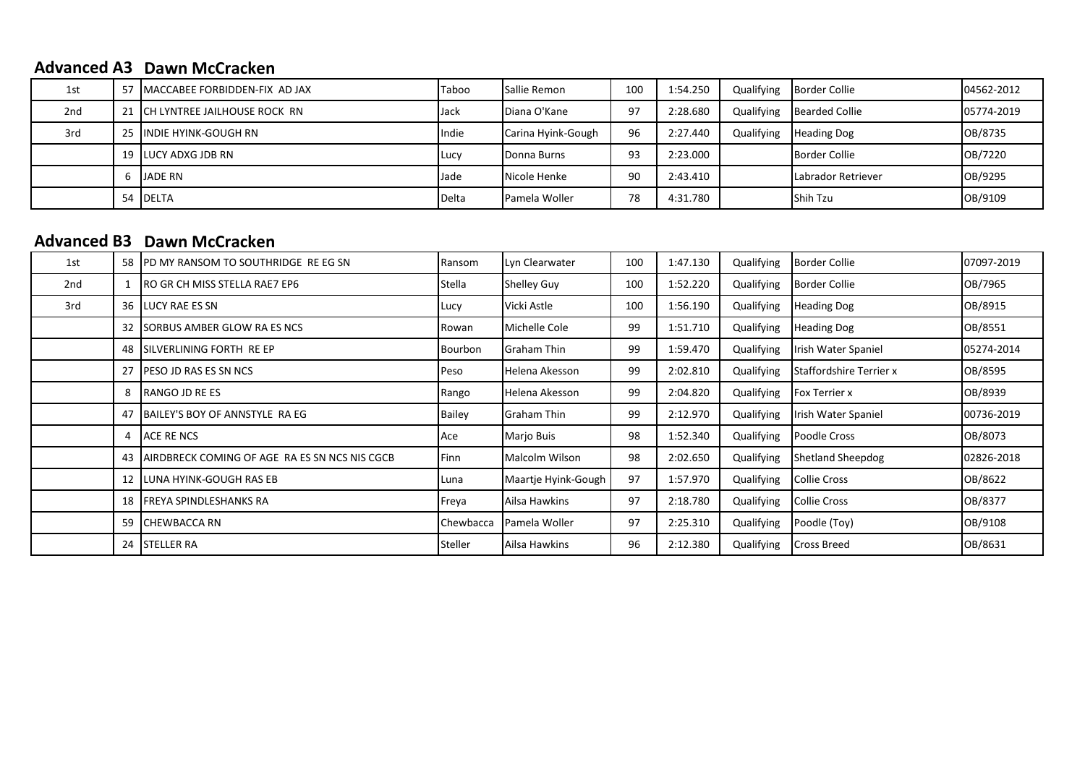### **Advanced A3 Dawn McCracken**

| 1st | 57 IMACCABEE FORBIDDEN-FIX AD JAX | Taboo         | <b>Sallie Remon</b> | 100 | 1:54.250 | Qualifying | <b>Border Collie</b>  | 04562-2012 |
|-----|-----------------------------------|---------------|---------------------|-----|----------|------------|-----------------------|------------|
| 2nd | 21 ICH LYNTREE JAILHOUSE ROCK RN  | lJack         | Diana O'Kane        | 97  | 2:28.680 | Qualifying | <b>Bearded Collie</b> | 05774-2019 |
| 3rd | 25 IINDIE HYINK-GOUGH RN          | Indie         | Carina Hyink-Gough  | 96  | 2:27.440 | Qualifying | <b>Heading Dog</b>    | OB/8735    |
|     | 19 <b>I</b> LUCY ADXG JDB RN      | <b>I</b> Lucy | Donna Burns         | 93  | 2:23.000 |            | <b>Border Collie</b>  | OB/7220    |
|     | <b>JADE RN</b>                    | Jade          | Nicole Henke        | 90  | 2:43.410 |            | Labrador Retriever    | OB/9295    |
|     | 54 DELTA                          | Delta         | Pamela Woller       | 78  | 4:31.780 |            | Shih Tzu              | OB/9109    |

## **Advanced B3 Dawn McCracken**

| 1st | 58              | PD MY RANSOM TO SOUTHRIDGE REEG SN            | Ransom      | Lyn Clearwater      | 100 | 1:47.130 | Qualifying | <b>Border Collie</b>           | 07097-2019 |
|-----|-----------------|-----------------------------------------------|-------------|---------------------|-----|----------|------------|--------------------------------|------------|
| 2nd |                 | IRO GR CH MISS STELLA RAE7 EP6                | Stella      | Shelley Guy         | 100 | 1:52.220 | Qualifying | <b>Border Collie</b>           | OB/7965    |
| 3rd |                 | 36 <b>ILUCY RAE ES SN</b>                     | Lucy        | Vicki Astle         | 100 | 1:56.190 | Qualifying | <b>Heading Dog</b>             | OB/8915    |
|     |                 | 32 SORBUS AMBER GLOW RA ES NCS                | Rowan       | Michelle Cole       | 99  | 1:51.710 | Qualifying | <b>Heading Dog</b>             | OB/8551    |
|     | 48              | SILVERLINING FORTH RE EP                      | Bourbon     | Graham Thin         | 99  | 1:59.470 | Qualifying | Irish Water Spaniel            | 05274-2014 |
|     | 27 <sup>1</sup> | PESO JD RAS ES SN NCS                         | <b>Peso</b> | Helena Akesson      | 99  | 2:02.810 | Qualifying | <b>Staffordshire Terrier x</b> | OB/8595    |
|     | 8               | RANGO JD RE ES                                | Rango       | Helena Akesson      | 99  | 2:04.820 | Qualifying | <b>Fox Terrier x</b>           | OB/8939    |
|     |                 | 47 BAILEY'S BOY OF ANNSTYLE RA EG             | Bailey      | Graham Thin         | 99  | 2:12.970 | Qualifying | Irish Water Spaniel            | 00736-2019 |
|     | 4               | ACE RE NCS                                    | Ace         | Marjo Buis          | 98  | 1:52.340 | Qualifying | Poodle Cross                   | OB/8073    |
|     | 43              | AIRDBRECK COMING OF AGE RA ES SN NCS NIS CGCB | Finn        | Malcolm Wilson      | 98  | 2:02.650 | Qualifying | <b>Shetland Sheepdog</b>       | 02826-2018 |
|     |                 | 12 ILUNA HYINK-GOUGH RAS EB                   | Luna        | Maartje Hyink-Gough | 97  | 1:57.970 | Qualifying | <b>Collie Cross</b>            | OB/8622    |
|     | 18              | <b>FREYA SPINDLESHANKS RA</b>                 | Freya       | Ailsa Hawkins       | 97  | 2:18.780 | Qualifying | <b>Collie Cross</b>            | OB/8377    |
|     |                 | 59 CHEWBACCA RN                               | Chewbacca   | Pamela Woller       | 97  | 2:25.310 | Qualifying | Poodle (Toy)                   | OB/9108    |
|     |                 | 24 STELLER RA                                 | Steller     | Ailsa Hawkins       | 96  | 2:12.380 | Qualifying | <b>Cross Breed</b>             | OB/8631    |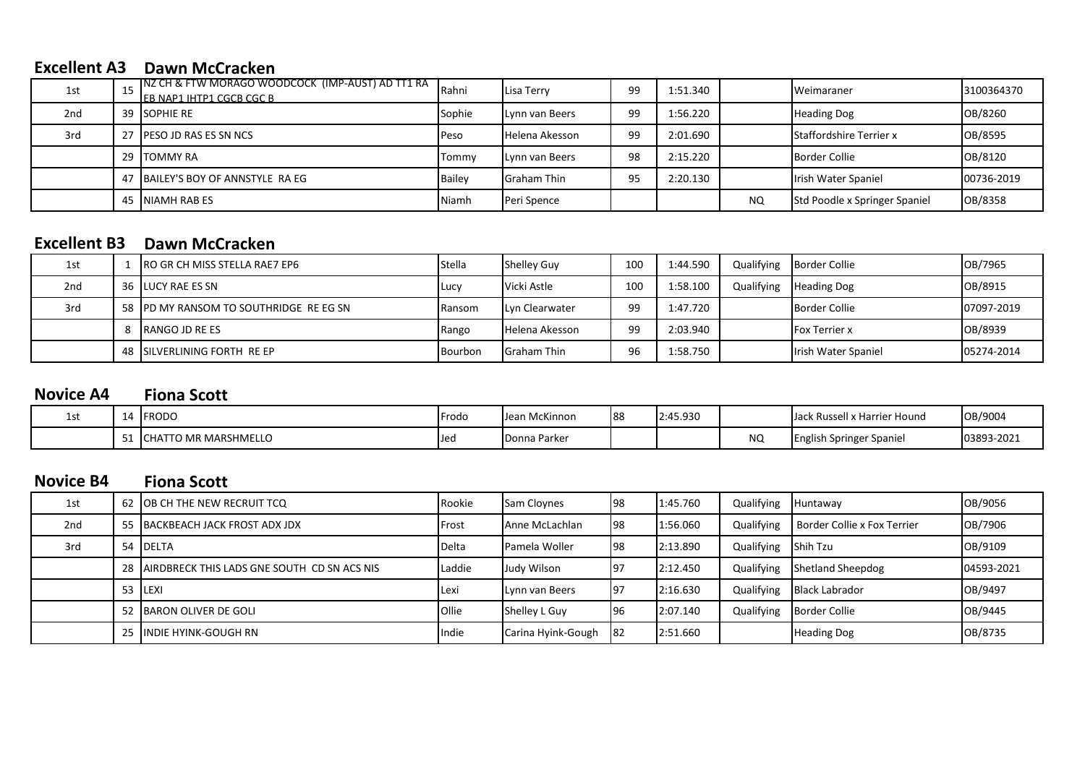### **Excellent A3 Dawn McCracken**

| 1st             |    | INZ CH & FTW MORAGO WOODCOCK (IMP-AUST) AD TT1 RA<br><b>IEB NAP1 IHTP1 CGCB CGC B</b> | Rahni       | Lisa Terry         | -99 | 1:51.340 |    | <b>Weimaraner</b>              | 3100364370 |
|-----------------|----|---------------------------------------------------------------------------------------|-------------|--------------------|-----|----------|----|--------------------------------|------------|
| 2 <sub>nd</sub> |    | 39 ISOPHIE RE                                                                         | Sophie      | Lynn van Beers     | 99  | 1:56.220 |    | <b>Heading Dog</b>             | OB/8260    |
| 3rd             |    | 27 <b>PESO JD RAS ES SN NCS</b>                                                       | <b>Peso</b> | Helena Akesson     | 99  | 2:01.690 |    | <b>Staffordshire Terrier x</b> | OB/8595    |
|                 |    | 29 <b>I</b> TOMMY RA                                                                  | Tommy       | Lynn van Beers     | 98  | 2:15.220 |    | Border Collie                  | OB/8120    |
|                 |    | 47 BAILEY'S BOY OF ANNSTYLE RA EG                                                     | Bailey      | <b>Graham Thin</b> | 95  | 2:20.130 |    | Irish Water Spaniel            | 00736-2019 |
|                 | 45 | INIAMH RAB ES                                                                         | Niamh       | Peri Spence        |     |          | NQ | Std Poodle x Springer Spaniel  | OB/8358    |

## **Excellent B3 Dawn McCracken**

| 1st             | RO GR CH MISS STELLA RAE7 EP6          | Stella        | <b>Shelley Guy</b> | 100             | 1:44.590 | Qualifying | <b>Border Collie</b> | OB/7965    |
|-----------------|----------------------------------------|---------------|--------------------|-----------------|----------|------------|----------------------|------------|
| 2 <sub>nd</sub> | 36 <b>I</b> LUCY RAE ES SN             | <b>I</b> Lucy | Vicki Astle        | 10 <sub>C</sub> | 1:58.100 | Qualifying | <b>Heading Dog</b>   | OB/8915    |
| 3rd             | 58 IPD MY RANSOM TO SOUTHRIDGE REEG SN | Ransom        | Lyn Clearwater     | 99              | 1:47.720 |            | Border Collie        | 07097-2019 |
|                 | <b>RANGO JD RE ES</b>                  | Rango         | Helena Akesson     | 99              | 2:03.940 |            | <b>Fox Terrier x</b> | OB/8939    |
|                 | 48 ISILVERLINING FORTH RE EP           | Bourbon       | <b>Graham Thin</b> | 96              | 1:58.750 |            | Irish Water Spaniel  | 05274-2014 |

#### **Fiona Scott Novice A4**

| ᅩJ |     | <b>IFRODO</b>          | <b>Frodo</b> | McKinnon<br>IJeai | 188 | 2:45.930 |     | <b>IJack Russell x Harrier Hound</b> | OB/9004    |
|----|-----|------------------------|--------------|-------------------|-----|----------|-----|--------------------------------------|------------|
|    | ـ ب | L CHATTO MR MARSHMELLO | <b>U</b> ec  | Donna Parker      |     |          | NQ. | English Springer Spaniel             | 03893-2021 |

### **Fiona Scott Novice B4**

| 1st             | 62 JOB CH THE NEW RECRUIT TCQ                  | Rookie        | <b>Sam Cloynes</b> | <b>198</b> | 1:45.760 | Qualifying | Huntaway                    | OB/9056     |
|-----------------|------------------------------------------------|---------------|--------------------|------------|----------|------------|-----------------------------|-------------|
| 2 <sub>nd</sub> | 55 BACKBEACH JACK FROST ADX JDX                | <b>IFrost</b> | Anne McLachlan     | <b>198</b> | 1:56.060 | Qualifying | Border Collie x Fox Terrier | OB/7906     |
| 3rd             | 54 DELTA                                       | Delta         | Pamela Woller      | <b>98</b>  | 2:13.890 | Qualifying | Shih Tzu                    | OB/9109     |
|                 | 28 AIRDBRECK THIS LADS GNE SOUTH CD SN ACS NIS | Laddie        | Judy Wilson        | 197        | 2:12.450 | Qualifying | Shetland Sheepdog           | 104593-2021 |
|                 | 53 ILEXI                                       | <b>IL</b> exi | Lynn van Beers     | 197        | 2:16.630 | Qualifying | <b>Black Labrador</b>       | OB/9497     |
|                 | 52 BARON OLIVER DE GOLI                        | <b>Ollie</b>  | Shelley L Guy      | 96         | 2:07.140 | Qualifying | Border Collie               | OB/9445     |
|                 | 25 IINDIE HYINK-GOUGH RN                       | Indie         | Carina Hyink-Gough | <b>82</b>  | 2:51.660 |            | <b>Heading Dog</b>          | OB/8735     |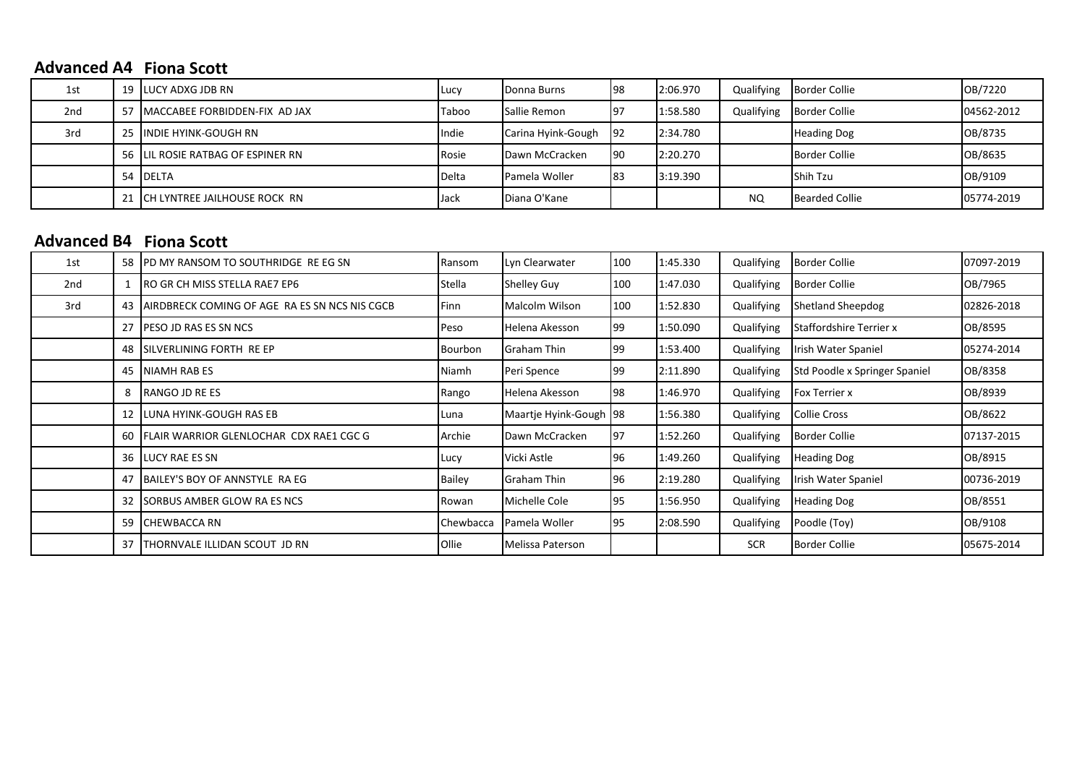### **Advanced A4 Fiona Scott**

| 1st             |     | 19 <b>I</b> LUCY ADXG JDB RN      | Lucy  | Donna Burns          | <b>1</b> 98 | 2:06.970 |           | Qualifying Border Collie | OB/7220    |
|-----------------|-----|-----------------------------------|-------|----------------------|-------------|----------|-----------|--------------------------|------------|
| 2 <sub>nd</sub> | -57 | MACCABEE FORBIDDEN-FIX AD JAX     | Taboo | Sallie Remon         | 197         | 1:58.580 |           | Qualifying Border Collie | 04562-2012 |
| 3rd             |     | 25 IINDIE HYINK-GOUGH RN          | Indie | Carina Hyink-Gough   | <b>92</b>   | 2:34.780 |           | <b>Heading Dog</b>       | OB/8735    |
|                 |     | 56 LIL ROSIE RATBAG OF ESPINER RN | Rosie | Dawn McCracken       | <b>1</b> 90 | 2:20.270 |           | Border Collie            | OB/8635    |
|                 |     | 54 IDELTA                         | Delta | <b>Pamela Woller</b> | 183         | 3:19.390 |           | Shih Tzu                 | OB/9109    |
|                 |     | 21 ICH LYNTREE JAILHOUSE ROCK RN  | lJack | Diana O'Kane         |             |          | <b>NQ</b> | <b>Bearded Collie</b>    | 05774-2019 |

# **Fiona Scott Advanced B4**

| 1st | 58              | PD MY RANSOM TO SOUTHRIDGE REEG SN            | Ransom           | Lyn Clearwater         | 100 | 1:45.330 | Qualifying | Border Collie                  | 07097-2019 |
|-----|-----------------|-----------------------------------------------|------------------|------------------------|-----|----------|------------|--------------------------------|------------|
| 2nd |                 | <b>IRO GR CH MISS STELLA RAE7 EP6</b>         | Stella           | Shelley Guy            | 100 | 1:47.030 | Qualifying | Border Collie                  | OB/7965    |
| 3rd | 43              | AIRDBRECK COMING OF AGE RA ES SN NCS NIS CGCB | <b>Finn</b>      | Malcolm Wilson         | 100 | 1:52.830 | Qualifying | Shetland Sheepdog              | 02826-2018 |
|     | 27              | PESO JD RAS ES SN NCS                         | Peso             | Helena Akesson         | 99  | 1:50.090 | Qualifying | <b>Staffordshire Terrier x</b> | OB/8595    |
|     | 48              | SILVERLINING FORTH RE EP                      | Bourbon          | <b>Graham Thin</b>     | 99  | 1:53.400 | Qualifying | Irish Water Spaniel            | 05274-2014 |
|     | 45              | <b>NIAMH RAB ES</b>                           | Niamh            | Peri Spence            | 99  | 2:11.890 | Qualifying | Std Poodle x Springer Spaniel  | OB/8358    |
|     | 8               | RANGO JD RE ES                                | Rango            | Helena Akesson         | 98  | 1:46.970 | Qualifying | Fox Terrier x                  | OB/8939    |
|     |                 | 12 LUNA HYINK-GOUGH RAS EB                    | Luna             | Maartje Hyink-Gough 98 |     | 1:56.380 | Qualifying | Collie Cross                   | OB/8622    |
|     | 60 l            | FLAIR WARRIOR GLENLOCHAR CDX RAE1 CGC G       | Archie           | Dawn McCracken         | 97  | 1:52.260 | Qualifying | <b>Border Collie</b>           | 07137-2015 |
|     |                 | 36 LUCY RAE ES SN                             | Lucy             | Vicki Astle            | 96  | 1:49.260 | Qualifying | Heading Dog                    | OB/8915    |
|     |                 | 47 BAILEY'S BOY OF ANNSTYLE RA EG             | <b>Bailey</b>    | <b>Graham Thin</b>     | 96  | 2:19.280 | Qualifying | Irish Water Spaniel            | 00736-2019 |
|     | 32 <sub>1</sub> | SORBUS AMBER GLOW RA ES NCS                   | Rowan            | Michelle Cole          | 95  | 1:56.950 | Qualifying | <b>Heading Dog</b>             | OB/8551    |
|     |                 | 59 CHEWBACCA RN                               | <b>Chewbacca</b> | Pamela Woller          | 95  | 2:08.590 | Qualifying | Poodle (Toy)                   | OB/9108    |
|     | 37              | THORNVALE ILLIDAN SCOUT JD RN                 | <b>Ollie</b>     | Melissa Paterson       |     |          | <b>SCR</b> | <b>Border Collie</b>           | 05675-2014 |